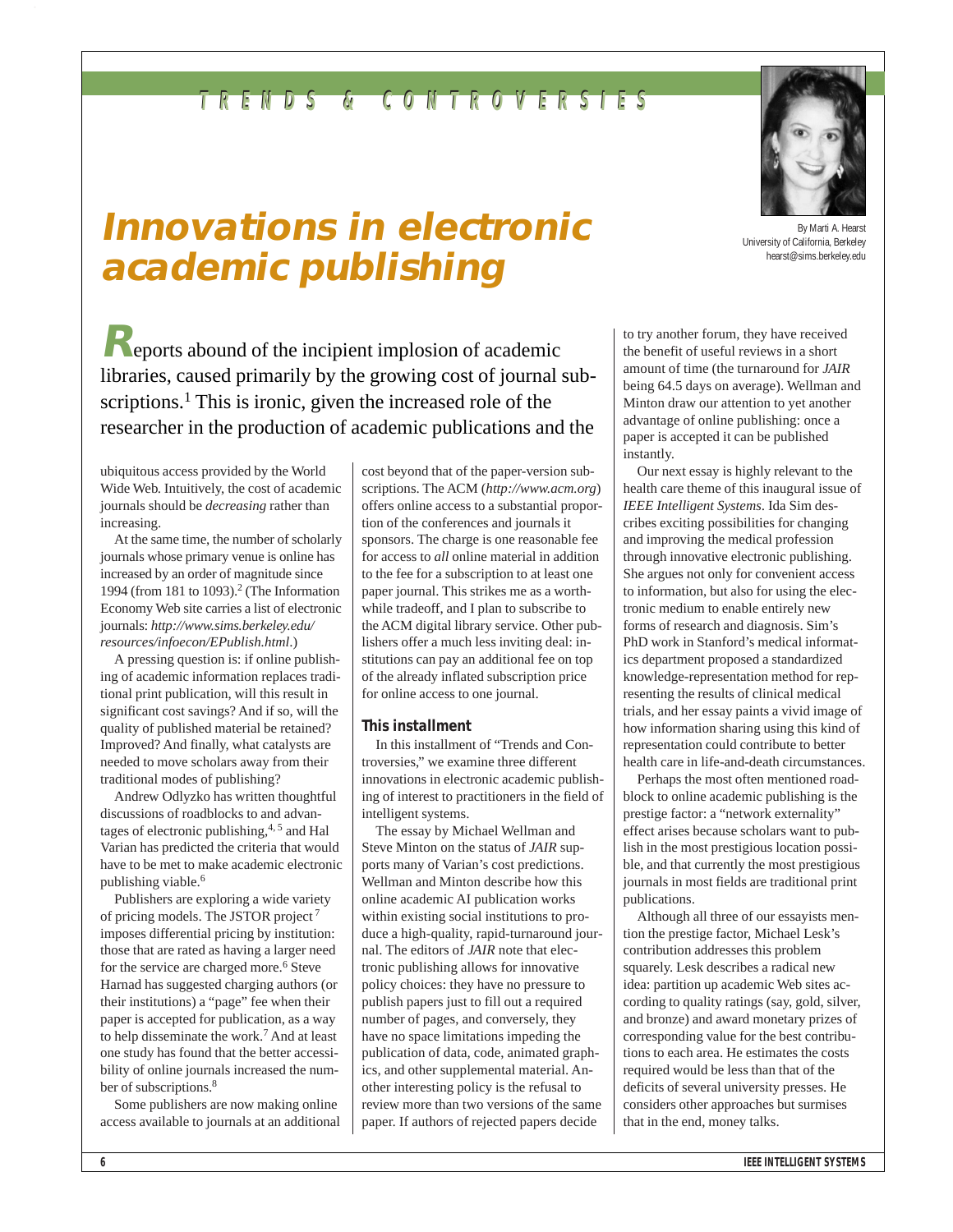## **TRENDS & CONTROVERSIES TRENDS & CONTROVERSIES**

## **Innovations in electronic academic publishing**

**Reports abound of the incipient implosion of academic** libraries, caused primarily by the growing cost of journal subscriptions.<sup>1</sup> This is ironic, given the increased role of the researcher in the production of academic publications and the

ubiquitous access provided by the World Wide Web. Intuitively, the cost of academic journals should be *decreasing* rather than increasing.

At the same time, the number of scholarly journals whose primary venue is online has increased by an order of magnitude since 1994 (from 181 to 1093).<sup>2</sup> (The Information Economy Web site carries a list of electronic journals: *http://www.sims.berkeley.edu/ resources/infoecon/EPublish.html*.)

A pressing question is: if online publishing of academic information replaces traditional print publication, will this result in significant cost savings? And if so, will the quality of published material be retained? Improved? And finally, what catalysts are needed to move scholars away from their traditional modes of publishing?

Andrew Odlyzko has written thoughtful discussions of roadblocks to and advantages of electronic publishing,<sup>4, 5</sup> and Hal Varian has predicted the criteria that would have to be met to make academic electronic publishing viable.<sup>6</sup>

Publishers are exploring a wide variety of pricing models. The JSTOR project <sup>7</sup> imposes differential pricing by institution: those that are rated as having a larger need for the service are charged more.<sup>6</sup> Steve Harnad has suggested charging authors (or their institutions) a "page" fee when their paper is accepted for publication, as a way to help disseminate the work.7 And at least one study has found that the better accessibility of online journals increased the number of subscriptions.<sup>8</sup>

Some publishers are now making online access available to journals at an additional cost beyond that of the paper-version subscriptions. The ACM (*http://www.acm.org*) offers online access to a substantial proportion of the conferences and journals it sponsors. The charge is one reasonable fee for access to *all* online material in addition to the fee for a subscription to at least one paper journal. This strikes me as a worthwhile tradeoff, and I plan to subscribe to the ACM digital library service. Other publishers offer a much less inviting deal: institutions can pay an additional fee on top of the already inflated subscription price for online access to one journal.

### **This installment**

In this installment of "Trends and Controversies," we examine three different innovations in electronic academic publishing of interest to practitioners in the field of intelligent systems.

The essay by Michael Wellman and Steve Minton on the status of *JAIR* supports many of Varian's cost predictions. Wellman and Minton describe how this online academic AI publication works within existing social institutions to produce a high-quality, rapid-turnaround journal. The editors of *JAIR* note that electronic publishing allows for innovative policy choices: they have no pressure to publish papers just to fill out a required number of pages, and conversely, they have no space limitations impeding the publication of data, code, animated graphics, and other supplemental material. Another interesting policy is the refusal to review more than two versions of the same paper. If authors of rejected papers decide



By Marti A. Hearst University of California, Berkeley hearst@sims.berkeley.edu

to try another forum, they have received the benefit of useful reviews in a short amount of time (the turnaround for *JAIR* being 64.5 days on average). Wellman and Minton draw our attention to yet another advantage of online publishing: once a paper is accepted it can be published instantly.

Our next essay is highly relevant to the health care theme of this inaugural issue of *IEEE Intelligent Systems*. Ida Sim describes exciting possibilities for changing and improving the medical profession through innovative electronic publishing. She argues not only for convenient access to information, but also for using the electronic medium to enable entirely new forms of research and diagnosis. Sim's PhD work in Stanford's medical informatics department proposed a standardized knowledge-representation method for representing the results of clinical medical trials, and her essay paints a vivid image of how information sharing using this kind of representation could contribute to better health care in life-and-death circumstances.

Perhaps the most often mentioned roadblock to online academic publishing is the prestige factor: a "network externality" effect arises because scholars want to publish in the most prestigious location possible, and that currently the most prestigious journals in most fields are traditional print publications.

Although all three of our essayists mention the prestige factor, Michael Lesk's contribution addresses this problem squarely. Lesk describes a radical new idea: partition up academic Web sites according to quality ratings (say, gold, silver, and bronze) and award monetary prizes of corresponding value for the best contributions to each area. He estimates the costs required would be less than that of the deficits of several university presses. He considers other approaches but surmises that in the end, money talks.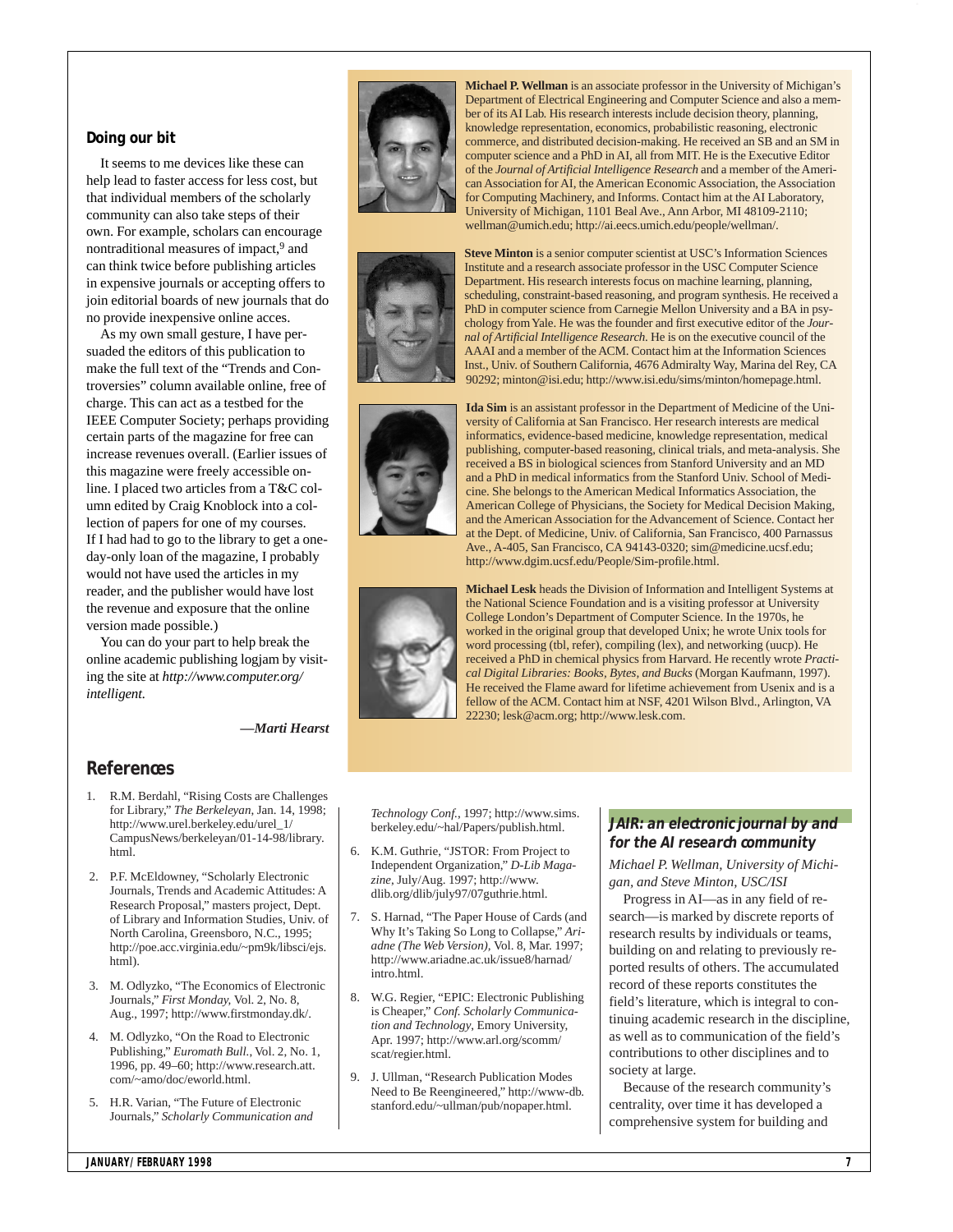### **Doing our bit**

It seems to me devices like these can help lead to faster access for less cost, but that individual members of the scholarly community can also take steps of their own. For example, scholars can encourage nontraditional measures of impact,<sup>9</sup> and can think twice before publishing articles in expensive journals or accepting offers to join editorial boards of new journals that do no provide inexpensive online acces.

As my own small gesture, I have persuaded the editors of this publication to make the full text of the "Trends and Controversies" column available online, free of charge. This can act as a testbed for the IEEE Computer Society; perhaps providing certain parts of the magazine for free can increase revenues overall. (Earlier issues of this magazine were freely accessible online. I placed two articles from a T&C column edited by Craig Knoblock into a collection of papers for one of my courses. If I had had to go to the library to get a oneday-only loan of the magazine, I probably would not have used the articles in my reader, and the publisher would have lost the revenue and exposure that the online version made possible.)

You can do your part to help break the online academic publishing logjam by visiting the site at *http://www.computer.org/ intelligent.*

*—Marti Hearst*

## **References**

- 1. R.M. Berdahl, "Rising Costs are Challenges for Library," *The Berkeleyan*, Jan. 14, 1998; http://www.urel.berkeley.edu/urel\_1/ CampusNews/berkeleyan/01-14-98/library. html.
- 2. P.F. McEldowney, "Scholarly Electronic Journals, Trends and Academic Attitudes: A Research Proposal," masters project, Dept. of Library and Information Studies, Univ. of North Carolina, Greensboro, N.C., 1995; http://poe.acc.virginia.edu/~pm9k/libsci/ejs. html).
- 3. M. Odlyzko, "The Economics of Electronic Journals," *First Monday,* Vol. 2, No. 8, Aug., 1997; http://www.firstmonday.dk/.
- 4. M. Odlyzko, "On the Road to Electronic Publishing," *Euromath Bull.*, Vol. 2, No. 1, 1996, pp. 49–60; http://www.research.att. com/~amo/doc/eworld.html.
- 5. H.R. Varian, "The Future of Electronic Journals," *Scholarly Communication and*



**Michael P. Wellman** is an associate professor in the University of Michigan's Department of Electrical Engineering and Computer Science and also a member of its AI Lab. His research interests include decision theory, planning, knowledge representation, economics, probabilistic reasoning, electronic commerce, and distributed decision-making. He received an SB and an SM in computer science and a PhD in AI, all from MIT. He is the Executive Editor of the *Journal of Artificial Intelligence Research* and a member of the American Association for AI, the American Economic Association, the Association for Computing Machinery, and Informs. Contact him at the AI Laboratory, University of Michigan, 1101 Beal Ave., Ann Arbor, MI 48109-2110; wellman@umich.edu; http://ai.eecs.umich.edu/people/wellman/.





Institute and a research associate professor in the USC Computer Science Department. His research interests focus on machine learning, planning, scheduling, constraint-based reasoning, and program synthesis. He received a PhD in computer science from Carnegie Mellon University and a BA in psychology from Yale. He was the founder and first executive editor of the *Journal of Artificial Intelligence Research*. He is on the executive council of the AAAI and a member of the ACM. Contact him at the Information Sciences Inst., Univ. of Southern California, 4676 Admiralty Way, Marina del Rey, CA 90292; minton@isi.edu; http://www.isi.edu/sims/minton/homepage.html.

**Steve Minton** is a senior computer scientist at USC's Information Sciences

**Ida Sim** is an assistant professor in the Department of Medicine of the University of California at San Francisco. Her research interests are medical informatics, evidence-based medicine, knowledge representation, medical publishing, computer-based reasoning, clinical trials, and meta-analysis. She received a BS in biological sciences from Stanford University and an MD and a PhD in medical informatics from the Stanford Univ. School of Medicine. She belongs to the American Medical Informatics Association, the American College of Physicians, the Society for Medical Decision Making, and the American Association for the Advancement of Science. Contact her at the Dept. of Medicine, Univ. of California, San Francisco, 400 Parnassus Ave., A-405, San Francisco, CA 94143-0320; sim@medicine.ucsf.edu; http://www.dgim.ucsf.edu/People/Sim-profile.html.



**Michael Lesk** heads the Division of Information and Intelligent Systems at the National Science Foundation and is a visiting professor at University College London's Department of Computer Science. In the 1970s, he worked in the original group that developed Unix; he wrote Unix tools for word processing (tbl, refer), compiling (lex), and networking (uucp). He received a PhD in chemical physics from Harvard. He recently wrote *Practical Digital Libraries: Books, Bytes, and Bucks* (Morgan Kaufmann, 1997). He received the Flame award for lifetime achievement from Usenix and is a fellow of the ACM. Contact him at NSF, 4201 Wilson Blvd., Arlington, VA 22230; lesk@acm.org; http://www.lesk.com.

*Technology Conf.*, 1997; http://www.sims. berkeley.edu/~hal/Papers/publish.html.

- 6. K.M. Guthrie, "JSTOR: From Project to Independent Organization," *D-Lib Magazine*, July/Aug. 1997; http://www. dlib.org/dlib/july97/07guthrie.html.
- 7. S. Harnad, "The Paper House of Cards (and Why It's Taking So Long to Collapse," *Ariadne (The Web Version),* Vol. 8, Mar. 1997; http://www.ariadne.ac.uk/issue8/harnad/ intro.html.
- 8. W.G. Regier, "EPIC: Electronic Publishing is Cheaper," *Conf. Scholarly Communication and Technology*, Emory University, Apr. 1997; http://www.arl.org/scomm/ scat/regier.html.
- 9. J. Ullman, "Research Publication Modes Need to Be Reengineered," http://www-db. stanford.edu/~ullman/pub/nopaper.html.

## **JAIR: an electronic journal by and for the AI research community**

*Michael P. Wellman, University of Michigan, and Steve Minton, USC/ISI*

Progress in AI—as in any field of research—is marked by discrete reports of research results by individuals or teams, building on and relating to previously reported results of others. The accumulated record of these reports constitutes the field's literature, which is integral to continuing academic research in the discipline, as well as to communication of the field's contributions to other disciplines and to society at large.

Because of the research community's centrality, over time it has developed a comprehensive system for building and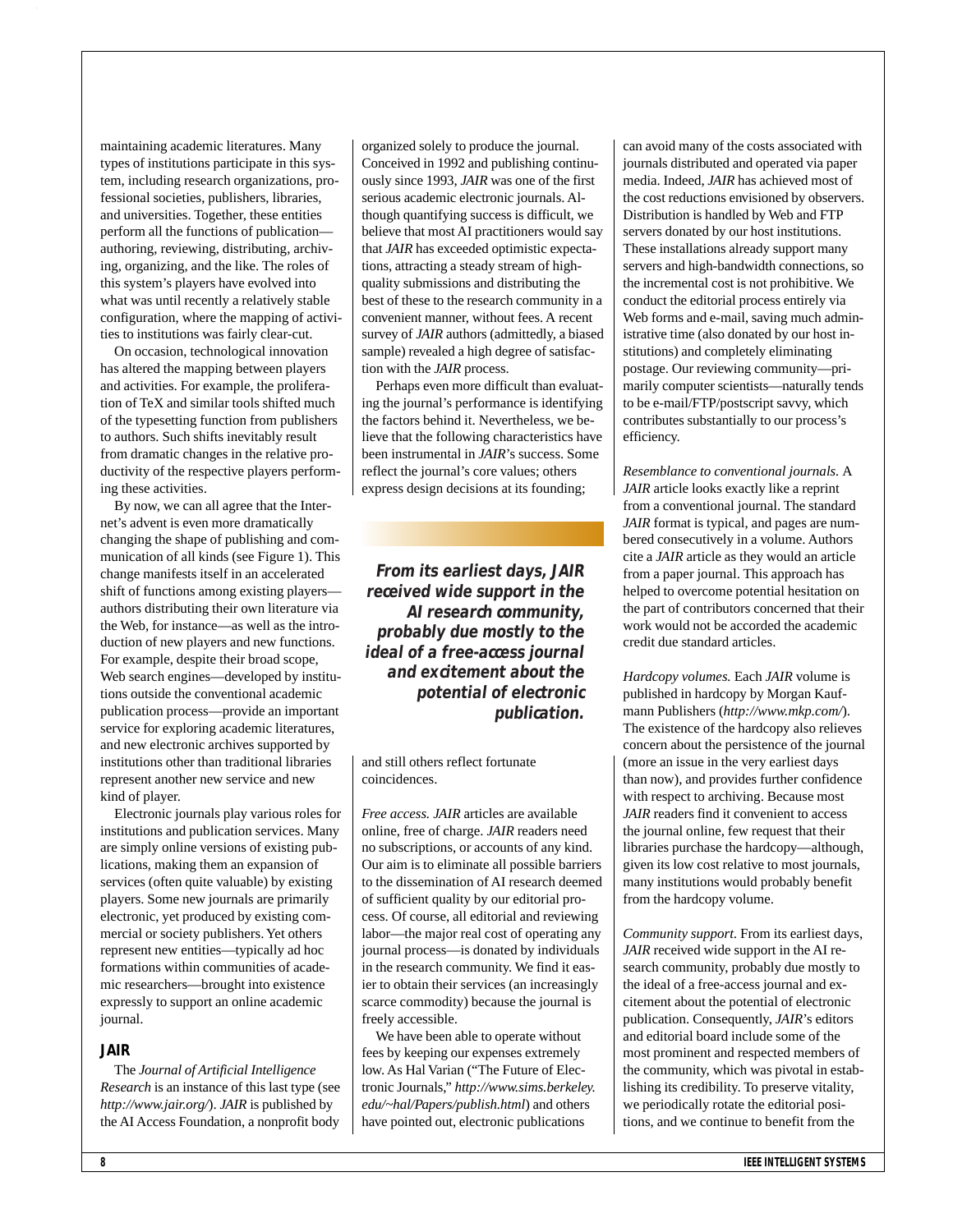maintaining academic literatures. Many types of institutions participate in this system, including research organizations, professional societies, publishers, libraries, and universities. Together, these entities perform all the functions of publication authoring, reviewing, distributing, archiving, organizing, and the like. The roles of this system's players have evolved into what was until recently a relatively stable configuration, where the mapping of activities to institutions was fairly clear-cut.

On occasion, technological innovation has altered the mapping between players and activities. For example, the proliferation of TeX and similar tools shifted much of the typesetting function from publishers to authors. Such shifts inevitably result from dramatic changes in the relative productivity of the respective players performing these activities.

By now, we can all agree that the Internet's advent is even more dramatically changing the shape of publishing and communication of all kinds (see Figure 1). This change manifests itself in an accelerated shift of functions among existing players authors distributing their own literature via the Web, for instance—as well as the introduction of new players and new functions. For example, despite their broad scope, Web search engines—developed by institutions outside the conventional academic publication process—provide an important service for exploring academic literatures, and new electronic archives supported by institutions other than traditional libraries represent another new service and new kind of player.

Electronic journals play various roles for institutions and publication services. Many are simply online versions of existing publications, making them an expansion of services (often quite valuable) by existing players. Some new journals are primarily electronic, yet produced by existing commercial or society publishers. Yet others represent new entities—typically ad hoc formations within communities of academic researchers—brought into existence expressly to support an online academic journal.

### **JAIR**

The *Journal of Artificial Intelligence Research* is an instance of this last type (see *http://www.jair.org/*). *JAIR* is published by the AI Access Foundation, a nonprofit body

organized solely to produce the journal. Conceived in 1992 and publishing continuously since 1993, *JAIR* was one of the first serious academic electronic journals. Although quantifying success is difficult, we believe that most AI practitioners would say that *JAIR* has exceeded optimistic expectations, attracting a steady stream of highquality submissions and distributing the best of these to the research community in a convenient manner, without fees. A recent survey of *JAIR* authors (admittedly, a biased sample) revealed a high degree of satisfaction with the *JAIR* process.

Perhaps even more difficult than evaluating the journal's performance is identifying the factors behind it. Nevertheless, we believe that the following characteristics have been instrumental in *JAIR*'s success. Some reflect the journal's core values; others express design decisions at its founding;

**From its earliest days, JAIR received wide support in the AI research community, probably due mostly to the ideal of a free-access journal and excitement about the potential of electronic publication.**

and still others reflect fortunate coincidences.

*Free access. JAIR* articles are available online, free of charge. *JAIR* readers need no subscriptions, or accounts of any kind. Our aim is to eliminate all possible barriers to the dissemination of AI research deemed of sufficient quality by our editorial process. Of course, all editorial and reviewing labor—the major real cost of operating any journal process—is donated by individuals in the research community. We find it easier to obtain their services (an increasingly scarce commodity) because the journal is freely accessible.

We have been able to operate without fees by keeping our expenses extremely low. As Hal Varian ("The Future of Electronic Journals," *http://www.sims.berkeley. edu/~hal/Papers/publish.html*) and others have pointed out, electronic publications

can avoid many of the costs associated with journals distributed and operated via paper media. Indeed, *JAIR* has achieved most of the cost reductions envisioned by observers. Distribution is handled by Web and FTP servers donated by our host institutions. These installations already support many servers and high-bandwidth connections, so the incremental cost is not prohibitive. We conduct the editorial process entirely via Web forms and e-mail, saving much administrative time (also donated by our host institutions) and completely eliminating postage. Our reviewing community—primarily computer scientists—naturally tends to be e-mail/FTP/postscript savvy, which contributes substantially to our process's efficiency.

*Resemblance to conventional journals.* A *JAIR* article looks exactly like a reprint from a conventional journal. The standard *JAIR* format is typical, and pages are numbered consecutively in a volume. Authors cite a *JAIR* article as they would an article from a paper journal. This approach has helped to overcome potential hesitation on the part of contributors concerned that their work would not be accorded the academic credit due standard articles.

*Hardcopy volumes.* Each *JAIR* volume is published in hardcopy by Morgan Kaufmann Publishers (*http://www.mkp.com/*). The existence of the hardcopy also relieves concern about the persistence of the journal (more an issue in the very earliest days than now), and provides further confidence with respect to archiving. Because most *JAIR* readers find it convenient to access the journal online, few request that their libraries purchase the hardcopy—although, given its low cost relative to most journals, many institutions would probably benefit from the hardcopy volume.

*Community support*. From its earliest days, *JAIR* received wide support in the AI research community, probably due mostly to the ideal of a free-access journal and excitement about the potential of electronic publication. Consequently, *JAIR*'s editors and editorial board include some of the most prominent and respected members of the community, which was pivotal in establishing its credibility. To preserve vitality, we periodically rotate the editorial positions, and we continue to benefit from the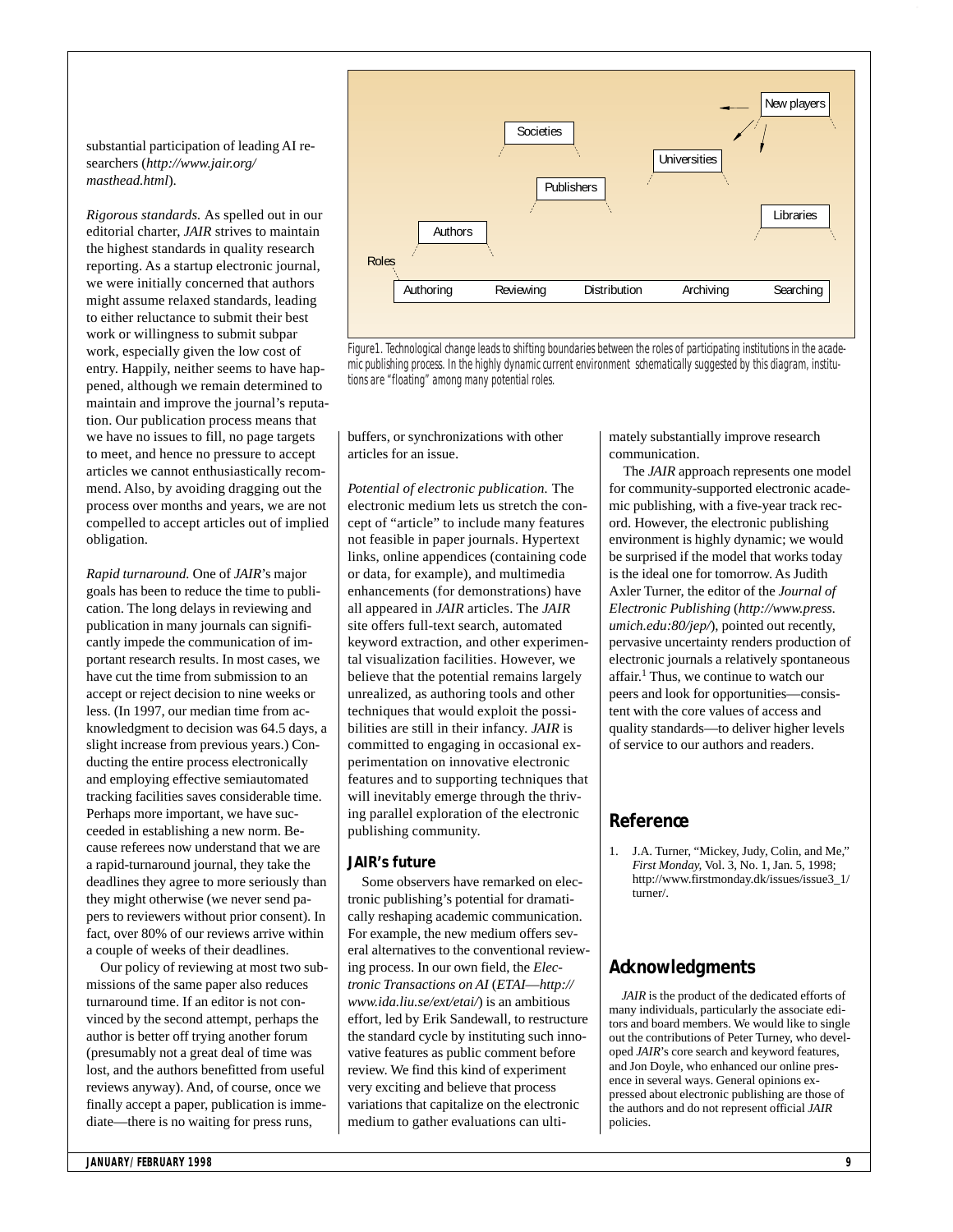substantial participation of leading AI researchers (*http://www.jair.org/ masthead.html*).

*Rigorous standards.* As spelled out in our editorial charter, *JAIR* strives to maintain the highest standards in quality research reporting. As a startup electronic journal, we were initially concerned that authors might assume relaxed standards, leading to either reluctance to submit their best work or willingness to submit subpar work, especially given the low cost of entry. Happily, neither seems to have happened, although we remain determined to maintain and improve the journal's reputation. Our publication process means that we have no issues to fill, no page targets to meet, and hence no pressure to accept articles we cannot enthusiastically recommend. Also, by avoiding dragging out the process over months and years, we are not compelled to accept articles out of implied obligation.

*Rapid turnaround.* One of *JAIR*'s major goals has been to reduce the time to publication. The long delays in reviewing and publication in many journals can significantly impede the communication of important research results. In most cases, we have cut the time from submission to an accept or reject decision to nine weeks or less. (In 1997, our median time from acknowledgment to decision was 64.5 days, a slight increase from previous years.) Conducting the entire process electronically and employing effective semiautomated tracking facilities saves considerable time. Perhaps more important, we have succeeded in establishing a new norm. Because referees now understand that we are a rapid-turnaround journal, they take the deadlines they agree to more seriously than they might otherwise (we never send papers to reviewers without prior consent). In fact, over 80% of our reviews arrive within a couple of weeks of their deadlines.

Our policy of reviewing at most two submissions of the same paper also reduces turnaround time. If an editor is not convinced by the second attempt, perhaps the author is better off trying another forum (presumably not a great deal of time was lost, and the authors benefitted from useful reviews anyway). And, of course, once we finally accept a paper, publication is immediate—there is no waiting for press runs,



Figure1. Technological change leads to shifting boundaries between the roles of participating institutions in the academic publishing process. In the highly dynamic current environment schematically suggested by this diagram, institutions are "floating" among many potential roles.

buffers, or synchronizations with other articles for an issue.

*Potential of electronic publication.* The electronic medium lets us stretch the concept of "article" to include many features not feasible in paper journals. Hypertext links, online appendices (containing code or data, for example), and multimedia enhancements (for demonstrations) have all appeared in *JAIR* articles. The *JAIR* site offers full-text search, automated keyword extraction, and other experimental visualization facilities. However, we believe that the potential remains largely unrealized, as authoring tools and other techniques that would exploit the possibilities are still in their infancy. *JAIR* is committed to engaging in occasional experimentation on innovative electronic features and to supporting techniques that will inevitably emerge through the thriving parallel exploration of the electronic publishing community.

#### **JAIR's future**

Some observers have remarked on electronic publishing's potential for dramatically reshaping academic communication. For example, the new medium offers several alternatives to the conventional reviewing process. In our own field, the *Electronic Transactions on AI* (*ETAI*—*http:// www.ida.liu.se/ext/etai/*) is an ambitious effort, led by Erik Sandewall, to restructure the standard cycle by instituting such innovative features as public comment before review. We find this kind of experiment very exciting and believe that process variations that capitalize on the electronic medium to gather evaluations can ultimately substantially improve research communication.

The *JAIR* approach represents one model for community-supported electronic academic publishing, with a five-year track record. However, the electronic publishing environment is highly dynamic; we would be surprised if the model that works today is the ideal one for tomorrow. As Judith Axler Turner, the editor of the *Journal of Electronic Publishing* (*http://www.press. umich.edu:80/jep/*), pointed out recently, pervasive uncertainty renders production of electronic journals a relatively spontaneous affair.1 Thus, we continue to watch our peers and look for opportunities—consistent with the core values of access and quality standards—to deliver higher levels of service to our authors and readers.

## **Reference**

1. J.A. Turner, "Mickey, Judy, Colin, and Me," *First Monday,* Vol. 3, No. 1, Jan. 5, 1998; http://www.firstmonday.dk/issues/issue3\_1/ turner/.

## **Acknowledgments**

*JAIR* is the product of the dedicated efforts of many individuals, particularly the associate editors and board members. We would like to single out the contributions of Peter Turney, who developed *JAIR*'s core search and keyword features, and Jon Doyle, who enhanced our online presence in several ways. General opinions expressed about electronic publishing are those of the authors and do not represent official *JAIR* policies.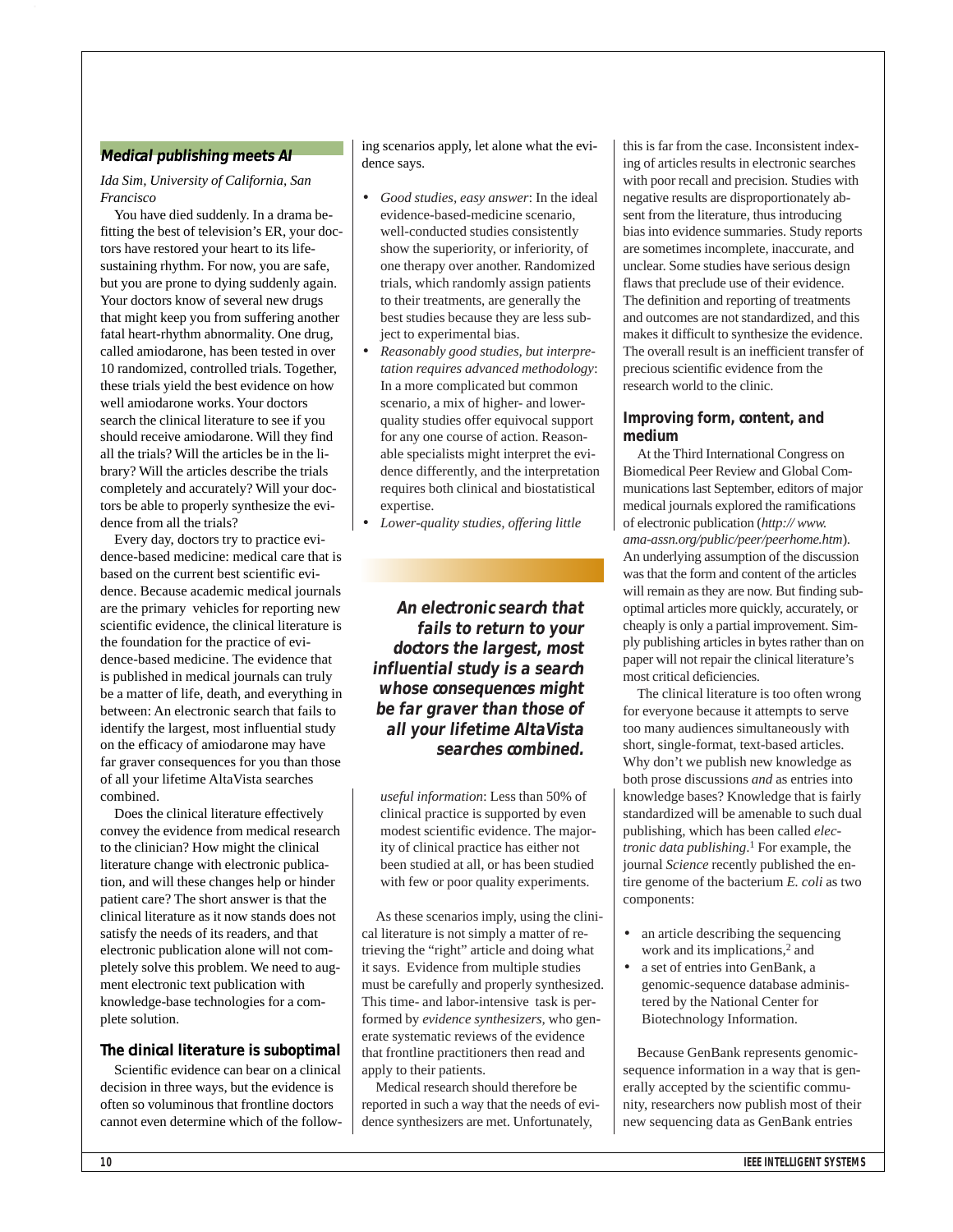## **Medical publishing meets AI**

*Ida Sim, University of California, San Francisco*

You have died suddenly. In a drama befitting the best of television's ER, your doctors have restored your heart to its lifesustaining rhythm. For now, you are safe, but you are prone to dying suddenly again. Your doctors know of several new drugs that might keep you from suffering another fatal heart-rhythm abnormality. One drug, called amiodarone, has been tested in over 10 randomized, controlled trials. Together, these trials yield the best evidence on how well amiodarone works. Your doctors search the clinical literature to see if you should receive amiodarone. Will they find all the trials? Will the articles be in the library? Will the articles describe the trials completely and accurately? Will your doctors be able to properly synthesize the evidence from all the trials?

Every day, doctors try to practice evidence-based medicine: medical care that is based on the current best scientific evidence. Because academic medical journals are the primary vehicles for reporting new scientific evidence, the clinical literature is the foundation for the practice of evidence-based medicine. The evidence that is published in medical journals can truly be a matter of life, death, and everything in between: An electronic search that fails to identify the largest, most influential study on the efficacy of amiodarone may have far graver consequences for you than those of all your lifetime AltaVista searches combined.

Does the clinical literature effectively convey the evidence from medical research to the clinician? How might the clinical literature change with electronic publication, and will these changes help or hinder patient care? The short answer is that the clinical literature as it now stands does not satisfy the needs of its readers, and that electronic publication alone will not completely solve this problem. We need to augment electronic text publication with knowledge-base technologies for a complete solution.

## **The clinical literature is suboptimal**

Scientific evidence can bear on a clinical decision in three ways, but the evidence is often so voluminous that frontline doctors cannot even determine which of the following scenarios apply, let alone what the evidence says.

- *Good studies, easy answer*: In the ideal evidence-based-medicine scenario, well-conducted studies consistently show the superiority, or inferiority, of one therapy over another. Randomized trials, which randomly assign patients to their treatments, are generally the best studies because they are less subject to experimental bias.
- *Reasonably good studies, but interpretation requires advanced methodology*: In a more complicated but common scenario, a mix of higher- and lowerquality studies offer equivocal support for any one course of action. Reasonable specialists might interpret the evidence differently, and the interpretation requires both clinical and biostatistical expertise.
- *Lower-quality studies, offering little*

## **An electronic search that fails to return to your doctors the largest, most influential study is a search whose consequences might be far graver than those of all your lifetime AltaVista searches combined.**

*useful information*: Less than 50% of clinical practice is supported by even modest scientific evidence. The majority of clinical practice has either not been studied at all, or has been studied with few or poor quality experiments.

As these scenarios imply, using the clinical literature is not simply a matter of retrieving the "right" article and doing what it says. Evidence from multiple studies must be carefully and properly synthesized. This time- and labor-intensive task is performed by *evidence synthesizers,* who generate systematic reviews of the evidence that frontline practitioners then read and apply to their patients.

Medical research should therefore be reported in such a way that the needs of evidence synthesizers are met. Unfortunately,

this is far from the case. Inconsistent indexing of articles results in electronic searches with poor recall and precision. Studies with negative results are disproportionately absent from the literature, thus introducing bias into evidence summaries. Study reports are sometimes incomplete, inaccurate, and unclear. Some studies have serious design flaws that preclude use of their evidence. The definition and reporting of treatments and outcomes are not standardized, and this makes it difficult to synthesize the evidence. The overall result is an inefficient transfer of precious scientific evidence from the research world to the clinic.

## **Improving form, content, and medium**

At the Third International Congress on Biomedical Peer Review and Global Communications last September, editors of major medical journals explored the ramifications of electronic publication (*http:// www. ama-assn.org/public/peer/peerhome.htm*). An underlying assumption of the discussion was that the form and content of the articles will remain as they are now. But finding suboptimal articles more quickly, accurately, or cheaply is only a partial improvement. Simply publishing articles in bytes rather than on paper will not repair the clinical literature's most critical deficiencies.

The clinical literature is too often wrong for everyone because it attempts to serve too many audiences simultaneously with short, single-format, text-based articles. Why don't we publish new knowledge as both prose discussions *and* as entries into knowledge bases? Knowledge that is fairly standardized will be amenable to such dual publishing, which has been called *electronic data publishing*. <sup>1</sup> For example, the journal *Science* recently published the entire genome of the bacterium *E. coli* as two components:

- an article describing the sequencing work and its implications,<sup>2</sup> and
- a set of entries into GenBank, a genomic-sequence database administered by the National Center for Biotechnology Information.

Because GenBank represents genomicsequence information in a way that is generally accepted by the scientific community, researchers now publish most of their new sequencing data as GenBank entries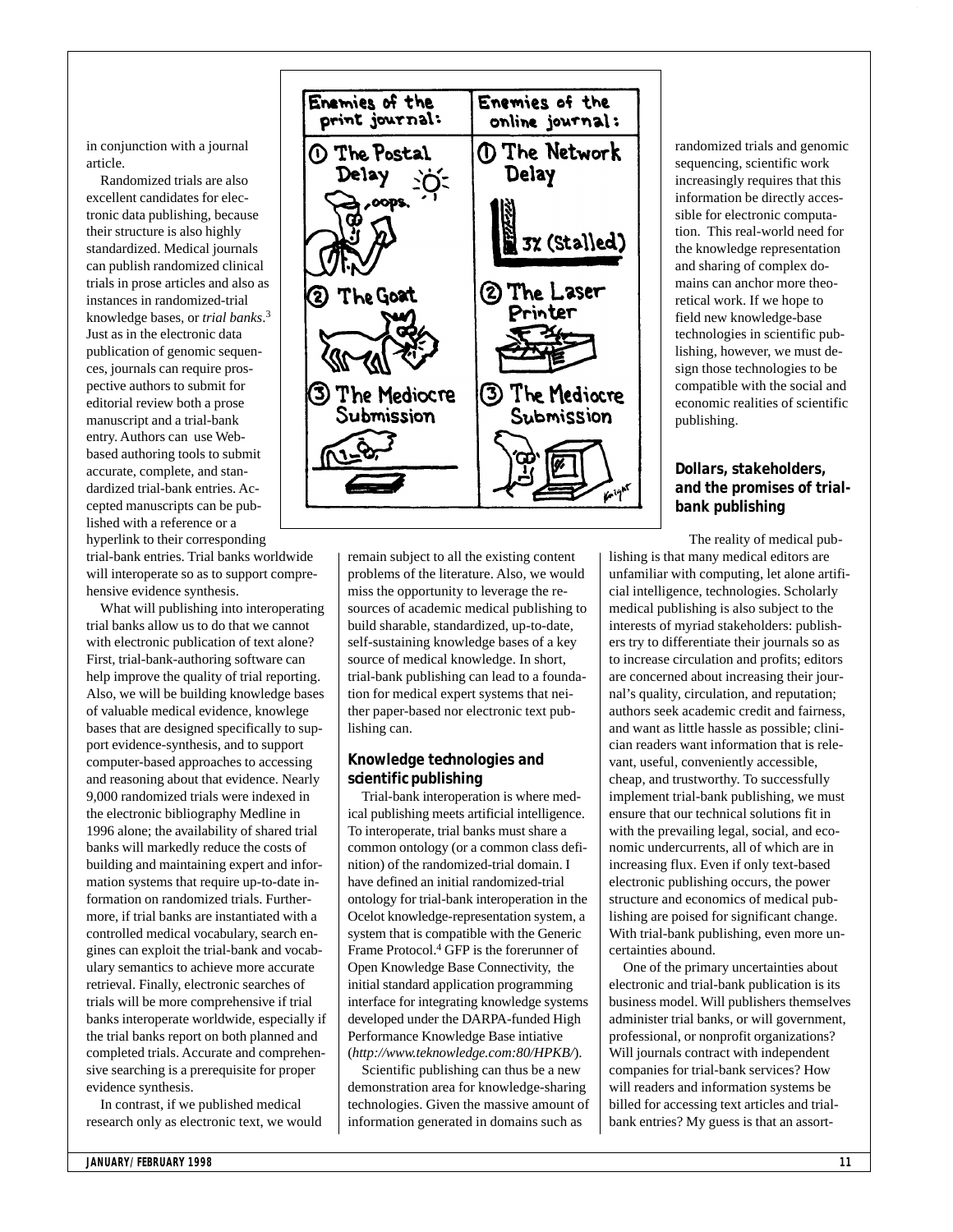in conjunction with a journal article.

Randomized trials are also excellent candidates for electronic data publishing, because their structure is also highly standardized. Medical journals can publish randomized clinical trials in prose articles and also as instances in randomized-trial knowledge bases, or *trial banks*. 3 Just as in the electronic data publication of genomic sequences, journals can require prospective authors to submit for editorial review both a prose manuscript and a trial-bank entry. Authors can use Webbased authoring tools to submit accurate, complete, and standardized trial-bank entries. Accepted manuscripts can be published with a reference or a hyperlink to their corresponding

trial-bank entries. Trial banks worldwide will interoperate so as to support comprehensive evidence synthesis.

What will publishing into interoperating trial banks allow us to do that we cannot with electronic publication of text alone? First, trial-bank-authoring software can help improve the quality of trial reporting. Also, we will be building knowledge bases of valuable medical evidence, knowlege bases that are designed specifically to support evidence-synthesis, and to support computer-based approaches to accessing and reasoning about that evidence. Nearly 9,000 randomized trials were indexed in the electronic bibliography Medline in 1996 alone; the availability of shared trial banks will markedly reduce the costs of building and maintaining expert and information systems that require up-to-date information on randomized trials. Furthermore, if trial banks are instantiated with a controlled medical vocabulary, search engines can exploit the trial-bank and vocabulary semantics to achieve more accurate retrieval. Finally, electronic searches of trials will be more comprehensive if trial banks interoperate worldwide, especially if the trial banks report on both planned and completed trials. Accurate and comprehensive searching is a prerequisite for proper evidence synthesis.

In contrast, if we published medical research only as electronic text, we would



remain subject to all the existing content problems of the literature. Also, we would miss the opportunity to leverage the resources of academic medical publishing to build sharable, standardized, up-to-date, self-sustaining knowledge bases of a key source of medical knowledge. In short, trial-bank publishing can lead to a foundation for medical expert systems that neither paper-based nor electronic text publishing can.

## **Knowledge technologies and scientific publishing**

Trial-bank interoperation is where medical publishing meets artificial intelligence. To interoperate, trial banks must share a common ontology (or a common class definition) of the randomized-trial domain. I have defined an initial randomized-trial ontology for trial-bank interoperation in the Ocelot knowledge-representation system, a system that is compatible with the Generic Frame Protocol.4 GFP is the forerunner of Open Knowledge Base Connectivity, the initial standard application programming interface for integrating knowledge systems developed under the DARPA-funded High Performance Knowledge Base intiative (*http://www.teknowledge.com:80/HPKB/*).

Scientific publishing can thus be a new demonstration area for knowledge-sharing technologies. Given the massive amount of information generated in domains such as

randomized trials and genomic sequencing, scientific work increasingly requires that this information be directly accessible for electronic computation. This real-world need for the knowledge representation and sharing of complex domains can anchor more theoretical work. If we hope to field new knowledge-base technologies in scientific publishing, however, we must design those technologies to be compatible with the social and economic realities of scientific publishing.

## **Dollars, stakeholders, and the promises of trialbank publishing**

The reality of medical publishing is that many medical editors are unfamiliar with computing, let alone artificial intelligence, technologies. Scholarly medical publishing is also subject to the interests of myriad stakeholders: publishers try to differentiate their journals so as to increase circulation and profits; editors are concerned about increasing their journal's quality, circulation, and reputation; authors seek academic credit and fairness, and want as little hassle as possible; clinician readers want information that is relevant, useful, conveniently accessible, cheap, and trustworthy. To successfully implement trial-bank publishing, we must ensure that our technical solutions fit in with the prevailing legal, social, and economic undercurrents, all of which are in increasing flux. Even if only text-based electronic publishing occurs, the power structure and economics of medical publishing are poised for significant change. With trial-bank publishing, even more uncertainties abound.

One of the primary uncertainties about electronic and trial-bank publication is its business model. Will publishers themselves administer trial banks, or will government, professional, or nonprofit organizations? Will journals contract with independent companies for trial-bank services? How will readers and information systems be billed for accessing text articles and trialbank entries? My guess is that an assort-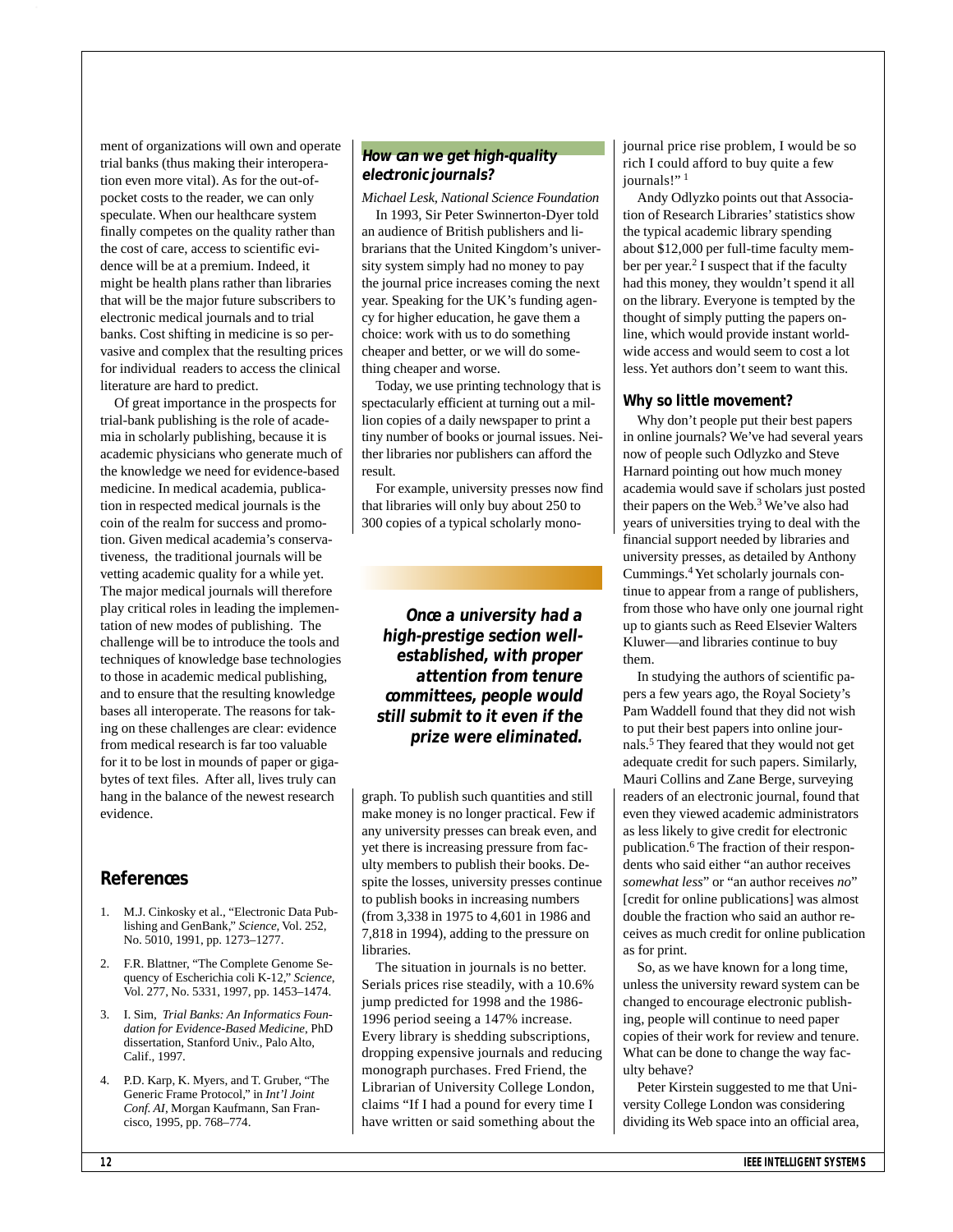ment of organizations will own and operate trial banks (thus making their interoperation even more vital). As for the out-ofpocket costs to the reader, we can only speculate. When our healthcare system finally competes on the quality rather than the cost of care, access to scientific evidence will be at a premium. Indeed, it might be health plans rather than libraries that will be the major future subscribers to electronic medical journals and to trial banks. Cost shifting in medicine is so pervasive and complex that the resulting prices for individual readers to access the clinical literature are hard to predict.

Of great importance in the prospects for trial-bank publishing is the role of academia in scholarly publishing, because it is academic physicians who generate much of the knowledge we need for evidence-based medicine. In medical academia, publication in respected medical journals is the coin of the realm for success and promotion. Given medical academia's conservativeness, the traditional journals will be vetting academic quality for a while yet. The major medical journals will therefore play critical roles in leading the implementation of new modes of publishing. The challenge will be to introduce the tools and techniques of knowledge base technologies to those in academic medical publishing, and to ensure that the resulting knowledge bases all interoperate. The reasons for taking on these challenges are clear: evidence from medical research is far too valuable for it to be lost in mounds of paper or gigabytes of text files. After all, lives truly can hang in the balance of the newest research evidence.

## **References**

- 1. M.J. Cinkosky et al., "Electronic Data Publishing and GenBank," *Science,* Vol. 252, No. 5010, 1991, pp. 1273–1277.
- 2. F.R. Blattner, "The Complete Genome Sequency of Escherichia coli K-12," *Science*, Vol. 277, No. 5331, 1997, pp. 1453–1474.
- 3. I. Sim, *Trial Banks: An Informatics Foundation for Evidence-Based Medicine*, PhD dissertation, Stanford Univ., Palo Alto, Calif., 1997.
- 4. P.D. Karp, K. Myers, and T. Gruber, "The Generic Frame Protocol," in *Int'l Joint Conf. AI*, Morgan Kaufmann, San Francisco, 1995, pp. 768–774.

## **How can we get high-quality electronic journals?**

*Michael Lesk, National Science Foundation* In 1993, Sir Peter Swinnerton-Dyer told an audience of British publishers and librarians that the United Kingdom's university system simply had no money to pay the journal price increases coming the next year. Speaking for the UK's funding agency for higher education, he gave them a choice: work with us to do something cheaper and better, or we will do something cheaper and worse.

Today, we use printing technology that is spectacularly efficient at turning out a million copies of a daily newspaper to print a tiny number of books or journal issues. Neither libraries nor publishers can afford the result.

For example, university presses now find that libraries will only buy about 250 to 300 copies of a typical scholarly mono-

**Once a university had a high-prestige section wellestablished, with proper attention from tenure committees, people would still submit to it even if the prize were eliminated.**

graph. To publish such quantities and still make money is no longer practical. Few if any university presses can break even, and yet there is increasing pressure from faculty members to publish their books. Despite the losses, university presses continue to publish books in increasing numbers (from 3,338 in 1975 to 4,601 in 1986 and 7,818 in 1994), adding to the pressure on libraries.

The situation in journals is no better. Serials prices rise steadily, with a 10.6% jump predicted for 1998 and the 1986- 1996 period seeing a 147% increase. Every library is shedding subscriptions, dropping expensive journals and reducing monograph purchases. Fred Friend, the Librarian of University College London, claims "If I had a pound for every time I have written or said something about the

journal price rise problem, I would be so rich I could afford to buy quite a few journals!"<sup>1</sup>

Andy Odlyzko points out that Association of Research Libraries' statistics show the typical academic library spending about \$12,000 per full-time faculty member per year.<sup>2</sup> I suspect that if the faculty had this money, they wouldn't spend it all on the library. Everyone is tempted by the thought of simply putting the papers online, which would provide instant worldwide access and would seem to cost a lot less. Yet authors don't seem to want this.

## **Why so little movement?**

Why don't people put their best papers in online journals? We've had several years now of people such Odlyzko and Steve Harnard pointing out how much money academia would save if scholars just posted their papers on the Web.3 We've also had years of universities trying to deal with the financial support needed by libraries and university presses, as detailed by Anthony Cummings.4Yet scholarly journals continue to appear from a range of publishers, from those who have only one journal right up to giants such as Reed Elsevier Walters Kluwer—and libraries continue to buy them.

In studying the authors of scientific papers a few years ago, the Royal Society's Pam Waddell found that they did not wish to put their best papers into online journals.5 They feared that they would not get adequate credit for such papers. Similarly, Mauri Collins and Zane Berge, surveying readers of an electronic journal, found that even they viewed academic administrators as less likely to give credit for electronic publication.6 The fraction of their respondents who said either "an author receives *somewhat less*" or "an author receives *no*" [credit for online publications] was almost double the fraction who said an author receives as much credit for online publication as for print.

So, as we have known for a long time, unless the university reward system can be changed to encourage electronic publishing, people will continue to need paper copies of their work for review and tenure. What can be done to change the way faculty behave?

Peter Kirstein suggested to me that University College London was considering dividing its Web space into an official area,